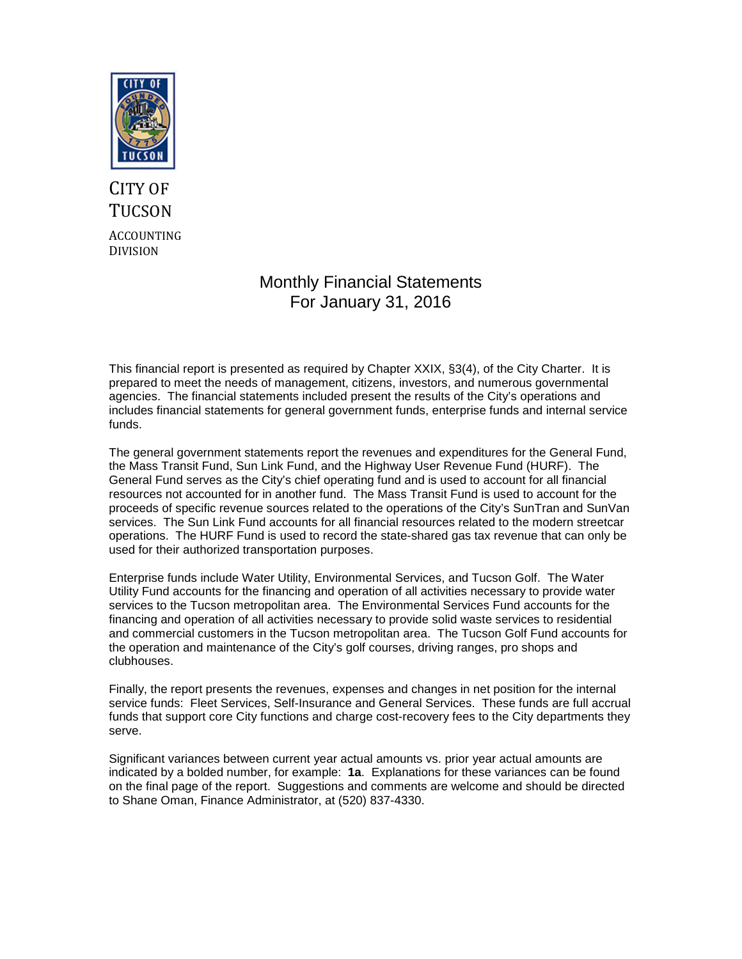

# CITY OF **TUCSON** ACCOUNTING DIVISION

## Monthly Financial Statements For January 31, 2016

This financial report is presented as required by Chapter XXIX, §3(4), of the City Charter. It is prepared to meet the needs of management, citizens, investors, and numerous governmental agencies. The financial statements included present the results of the City's operations and includes financial statements for general government funds, enterprise funds and internal service funds.

The general government statements report the revenues and expenditures for the General Fund, the Mass Transit Fund, Sun Link Fund, and the Highway User Revenue Fund (HURF). The General Fund serves as the City's chief operating fund and is used to account for all financial resources not accounted for in another fund. The Mass Transit Fund is used to account for the proceeds of specific revenue sources related to the operations of the City's SunTran and SunVan services. The Sun Link Fund accounts for all financial resources related to the modern streetcar operations. The HURF Fund is used to record the state-shared gas tax revenue that can only be used for their authorized transportation purposes.

Enterprise funds include Water Utility, Environmental Services, and Tucson Golf. The Water Utility Fund accounts for the financing and operation of all activities necessary to provide water services to the Tucson metropolitan area. The Environmental Services Fund accounts for the financing and operation of all activities necessary to provide solid waste services to residential and commercial customers in the Tucson metropolitan area. The Tucson Golf Fund accounts for the operation and maintenance of the City's golf courses, driving ranges, pro shops and clubhouses.

Finally, the report presents the revenues, expenses and changes in net position for the internal service funds: Fleet Services, Self-Insurance and General Services. These funds are full accrual funds that support core City functions and charge cost-recovery fees to the City departments they serve.

Significant variances between current year actual amounts vs. prior year actual amounts are indicated by a bolded number, for example: **1a**. Explanations for these variances can be found on the final page of the report. Suggestions and comments are welcome and should be directed to Shane Oman, Finance Administrator, at (520) 837-4330.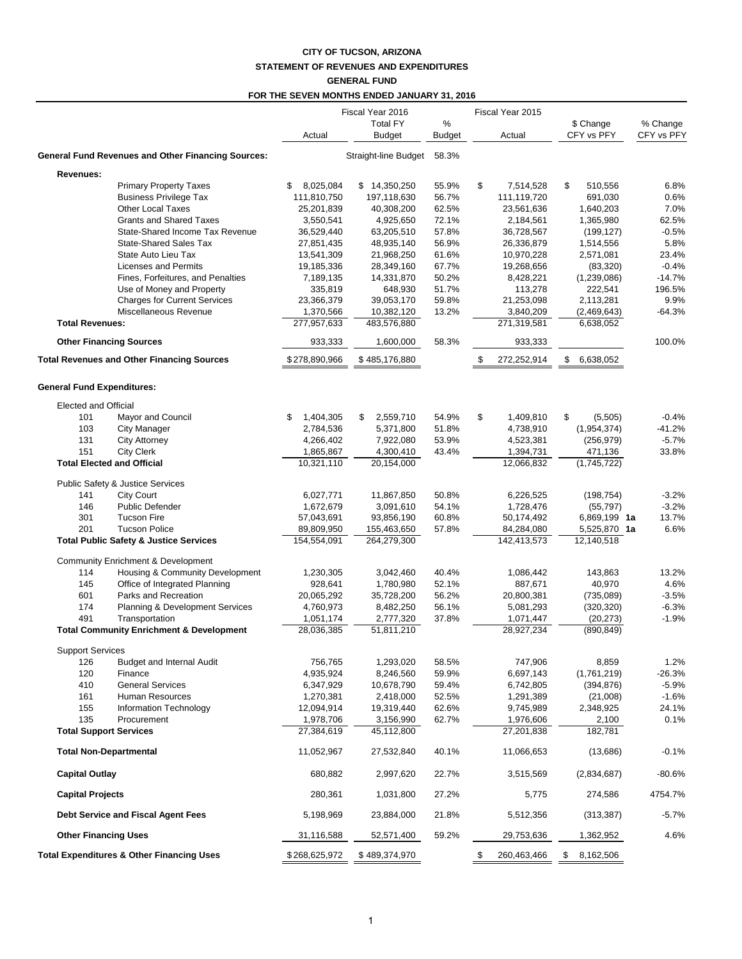### **CITY OF TUCSON, ARIZONA STATEMENT OF REVENUES AND EXPENDITURES GENERAL FUND**

#### **FOR THE SEVEN MONTHS ENDED JANUARY 31, 2016**

|                         |                                                                           | Fiscal Year 2016          |                            |                    | Fiscal Year 2015          |                            |                        |
|-------------------------|---------------------------------------------------------------------------|---------------------------|----------------------------|--------------------|---------------------------|----------------------------|------------------------|
|                         |                                                                           | Actual                    | <b>Total FY</b><br>Budget  | %<br><b>Budget</b> | Actual                    | \$ Change<br>CFY vs PFY    | % Change<br>CFY vs PFY |
|                         |                                                                           |                           |                            |                    |                           |                            |                        |
|                         | <b>General Fund Revenues and Other Financing Sources:</b>                 |                           | Straight-line Budget       | 58.3%              |                           |                            |                        |
| Revenues:               |                                                                           |                           |                            |                    |                           |                            |                        |
|                         | <b>Primary Property Taxes</b>                                             | 8,025,084<br>\$           | \$14,350,250               | 55.9%              | \$<br>7,514,528           | \$<br>510,556              | 6.8%                   |
|                         | <b>Business Privilege Tax</b><br><b>Other Local Taxes</b>                 | 111,810,750<br>25,201,839 | 197,118,630<br>40,308,200  | 56.7%<br>62.5%     | 111,119,720<br>23,561,636 | 691,030<br>1,640,203       | 0.6%<br>7.0%           |
|                         | <b>Grants and Shared Taxes</b>                                            | 3,550,541                 | 4,925,650                  | 72.1%              | 2,184,561                 | 1,365,980                  | 62.5%                  |
|                         | State-Shared Income Tax Revenue                                           | 36,529,440                | 63,205,510                 | 57.8%              | 36,728,567                | (199, 127)                 | $-0.5%$                |
|                         | State-Shared Sales Tax                                                    | 27,851,435                | 48,935,140                 | 56.9%              | 26,336,879                | 1,514,556                  | 5.8%                   |
|                         | State Auto Lieu Tax                                                       | 13,541,309                | 21,968,250                 | 61.6%              | 10,970,228                | 2,571,081                  | 23.4%                  |
|                         | <b>Licenses and Permits</b>                                               | 19,185,336                | 28,349,160                 | 67.7%              | 19,268,656                | (83, 320)                  | $-0.4%$                |
|                         | Fines, Forfeitures, and Penalties                                         | 7,189,135                 | 14,331,870                 | 50.2%              | 8,428,221                 | (1,239,086)                | $-14.7%$               |
|                         | Use of Money and Property                                                 | 335,819                   | 648,930                    | 51.7%              | 113,278                   | 222,541                    | 196.5%                 |
|                         | <b>Charges for Current Services</b>                                       | 23,366,379                | 39,053,170                 | 59.8%              | 21,253,098                | 2,113,281                  | 9.9%                   |
|                         | Miscellaneous Revenue                                                     | 1,370,566                 | 10,382,120                 | 13.2%              | 3,840,209                 | (2,469,643)                | $-64.3%$               |
| <b>Total Revenues:</b>  |                                                                           | 277,957,633               | 483,576,880                |                    | 271,319,581               | 6,638,052                  |                        |
|                         | <b>Other Financing Sources</b>                                            | 933,333                   | 1,600,000                  | 58.3%              | 933,333                   |                            | 100.0%                 |
|                         | <b>Total Revenues and Other Financing Sources</b>                         | \$278,890,966             | \$485,176,880              |                    | \$<br>272,252,914         | \$<br>6,638,052            |                        |
|                         |                                                                           |                           |                            |                    |                           |                            |                        |
|                         | <b>General Fund Expenditures:</b>                                         |                           |                            |                    |                           |                            |                        |
|                         | <b>Elected and Official</b>                                               |                           |                            |                    |                           |                            |                        |
| 101                     | Mayor and Council                                                         | 1,404,305<br>\$           | \$<br>2,559,710            | 54.9%              | \$<br>1,409,810           | \$<br>(5,505)              | $-0.4%$                |
| 103                     | City Manager                                                              | 2,784,536                 | 5,371,800                  | 51.8%              | 4,738,910                 | (1,954,374)                | $-41.2%$               |
| 131                     | <b>City Attorney</b>                                                      | 4,266,402                 | 7,922,080                  | 53.9%              | 4,523,381                 | (256, 979)                 | $-5.7%$                |
| 151                     | <b>City Clerk</b>                                                         | 1,865,867                 | 4,300,410                  | 43.4%              | 1,394,731                 | 471,136                    | 33.8%                  |
|                         | <b>Total Elected and Official</b>                                         | 10,321,110                | 20,154,000                 |                    | 12,066,832                | (1,745,722)                |                        |
|                         | Public Safety & Justice Services                                          |                           |                            |                    |                           |                            |                        |
| 141                     | City Court                                                                | 6,027,771                 | 11,867,850                 | 50.8%              | 6,226,525                 | (198, 754)                 | $-3.2%$                |
| 146                     | <b>Public Defender</b>                                                    | 1,672,679                 | 3,091,610                  | 54.1%              | 1,728,476                 | (55, 797)                  | $-3.2%$                |
| 301                     | <b>Tucson Fire</b>                                                        | 57,043,691                | 93,856,190                 | 60.8%              | 50,174,492                | 6,869,199 1a               | 13.7%                  |
| 201                     | <b>Tucson Police</b><br><b>Total Public Safety &amp; Justice Services</b> | 89,809,950<br>154,554,091 | 155,463,650<br>264,279,300 | 57.8%              | 84,284,080<br>142,413,573 | 5,525,870 1a<br>12,140,518 | 6.6%                   |
|                         |                                                                           |                           |                            |                    |                           |                            |                        |
|                         | <b>Community Enrichment &amp; Development</b>                             |                           |                            |                    |                           |                            |                        |
| 114                     | Housing & Community Development                                           | 1,230,305                 | 3,042,460                  | 40.4%              | 1,086,442                 | 143,863                    | 13.2%                  |
| 145                     | Office of Integrated Planning                                             | 928,641                   | 1,780,980                  | 52.1%              | 887,671                   | 40,970                     | 4.6%                   |
| 601                     | Parks and Recreation<br>Planning & Development Services                   | 20,065,292                | 35,728,200                 | 56.2%              | 20,800,381<br>5,081,293   | (735,089)                  | $-3.5%$<br>$-6.3%$     |
| 174<br>491              | Transportation                                                            | 4,760,973                 | 8,482,250                  | 56.1%<br>37.8%     |                           | (320, 320)                 | $-1.9%$                |
|                         | <b>Total Community Enrichment &amp; Development</b>                       | 1,051,174<br>28,036,385   | 2,777,320<br>51,811,210    |                    | 1,071,447<br>28,927,234   | (20, 273)<br>(890, 849)    |                        |
|                         |                                                                           |                           |                            |                    |                           |                            |                        |
| <b>Support Services</b> |                                                                           |                           |                            |                    |                           |                            |                        |
| 126                     | <b>Budget and Internal Audit</b>                                          | 756,765                   | 1,293,020                  | 58.5%              | 747,906                   | 8,859                      | 1.2%                   |
| 120                     | Finance                                                                   | 4,935,924                 | 8,246,560                  | 59.9%              | 6,697,143                 | (1,761,219)                | $-26.3%$               |
| 410                     | <b>General Services</b>                                                   | 6,347,929                 | 10,678,790                 | 59.4%              | 6,742,805                 | (394, 876)                 | $-5.9%$                |
| 161                     | Human Resources                                                           | 1,270,381                 | 2,418,000                  | 52.5%              | 1,291,389                 | (21,008)                   | $-1.6%$                |
| 155<br>135              | Information Technology<br>Procurement                                     | 12,094,914                | 19,319,440                 | 62.6%              | 9,745,989                 | 2,348,925                  | 24.1%                  |
|                         | <b>Total Support Services</b>                                             | 1,978,706<br>27,384,619   | 3,156,990<br>45,112,800    | 62.7%              | 1,976,606<br>27,201,838   | 2,100<br>182,781           | 0.1%                   |
|                         |                                                                           |                           |                            |                    |                           |                            |                        |
|                         | <b>Total Non-Departmental</b>                                             | 11,052,967                | 27,532,840                 | 40.1%              | 11,066,653                | (13,686)                   | $-0.1%$                |
| <b>Capital Outlay</b>   |                                                                           | 680,882                   | 2,997,620                  | 22.7%              | 3,515,569                 | (2,834,687)                | $-80.6%$               |
| <b>Capital Projects</b> |                                                                           | 280,361                   | 1,031,800                  | 27.2%              | 5,775                     | 274,586                    | 4754.7%                |
|                         | Debt Service and Fiscal Agent Fees                                        | 5,198,969                 | 23,884,000                 | 21.8%              | 5,512,356                 | (313, 387)                 | $-5.7%$                |
|                         | <b>Other Financing Uses</b>                                               | 31,116,588                | 52,571,400                 | 59.2%              | 29,753,636                | 1,362,952                  | 4.6%                   |
|                         | <b>Total Expenditures &amp; Other Financing Uses</b>                      | \$268,625,972             | \$489,374,970              |                    | \$<br>260,463,466         | \$<br>8,162,506            |                        |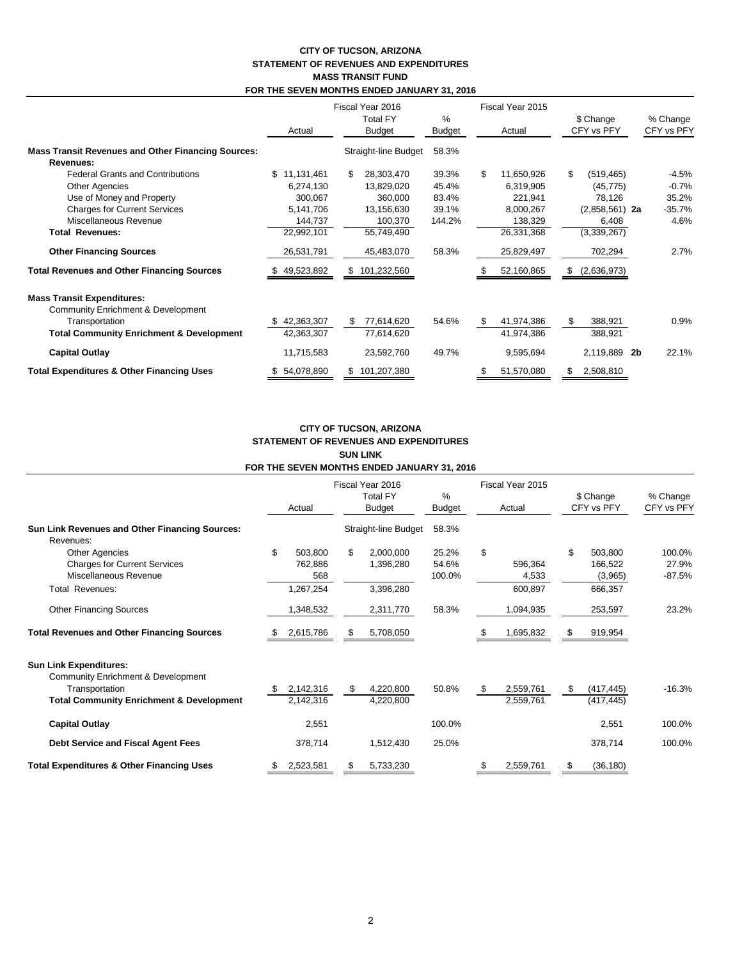#### **CITY OF TUCSON, ARIZONA STATEMENT OF REVENUES AND EXPENDITURES MASS TRANSIT FUND FOR THE SEVEN MONTHS ENDED JANUARY 31, 2016**

|                                                           |                  | Fiscal Year 2016          |                    |                   | Fiscal Year 2015        |                        |  |
|-----------------------------------------------------------|------------------|---------------------------|--------------------|-------------------|-------------------------|------------------------|--|
|                                                           | Actual           | Total FY<br><b>Budget</b> | %<br><b>Budget</b> | Actual            | \$ Change<br>CFY vs PFY | % Change<br>CFY vs PFY |  |
| <b>Mass Transit Revenues and Other Financing Sources:</b> |                  | Straight-line Budget      | 58.3%              |                   |                         |                        |  |
| Revenues:                                                 |                  |                           |                    |                   |                         |                        |  |
| <b>Federal Grants and Contributions</b>                   | \$11,131,461     | 28,303,470<br>\$          | 39.3%              | \$.<br>11,650,926 | \$<br>(519, 465)        | $-4.5%$                |  |
| <b>Other Agencies</b>                                     | 6,274,130        | 13,829,020                | 45.4%              | 6,319,905         | (45, 775)               | $-0.7%$                |  |
| Use of Money and Property                                 | 300,067          | 360,000                   | 83.4%              | 221,941           | 78,126                  | 35.2%                  |  |
| <b>Charges for Current Services</b>                       | 5,141,706        | 13,156,630                | 39.1%              | 8,000,267         | $(2,858,561)$ 2a        | $-35.7%$               |  |
| Miscellaneous Revenue                                     | 144,737          | 100,370                   | 144.2%             | 138,329           | 6,408                   | 4.6%                   |  |
| <b>Total Revenues:</b>                                    | 22,992,101       | 55,749,490                |                    | 26,331,368        | (3,339,267)             |                        |  |
| <b>Other Financing Sources</b>                            | 26,531,791       | 45,483,070                | 58.3%              | 25,829,497        | 702,294                 | 2.7%                   |  |
| <b>Total Revenues and Other Financing Sources</b>         | 49,523,892       | 101,232,560<br>S.         |                    | 52,160,865        | (2,636,973)             |                        |  |
| <b>Mass Transit Expenditures:</b>                         |                  |                           |                    |                   |                         |                        |  |
| <b>Community Enrichment &amp; Development</b>             |                  |                           |                    |                   |                         |                        |  |
| Transportation                                            | 42,363,307       | 77,614,620<br>\$.         | 54.6%              | 41,974,386<br>S   | 388,921<br>\$           | 0.9%                   |  |
| <b>Total Community Enrichment &amp; Development</b>       | 42,363,307       | 77,614,620                |                    | 41,974,386        | 388,921                 |                        |  |
| <b>Capital Outlay</b>                                     | 11,715,583       | 23,592,760                | 49.7%              | 9,595,694         | 2,119,889               | 22.1%<br>2b            |  |
| <b>Total Expenditures &amp; Other Financing Uses</b>      | 54,078,890<br>S. | 101,207,380               |                    | 51,570,080<br>\$  | 2,508,810               |                        |  |

#### **CITY OF TUCSON, ARIZONA STATEMENT OF REVENUES AND EXPENDITURES SUN LINK FOR THE SEVEN MONTHS ENDED JANUARY 31, 2016**

|                                                                                                                                              | Actual |                                        | Fiscal Year 2016<br>%<br><b>Total FY</b><br><b>Budget</b> |                                     | Budget                   | Fiscal Year 2015<br>Actual |                             | \$ Change<br>CFY vs PFY |                                          | % Change<br>CFY vs PFY      |
|----------------------------------------------------------------------------------------------------------------------------------------------|--------|----------------------------------------|-----------------------------------------------------------|-------------------------------------|--------------------------|----------------------------|-----------------------------|-------------------------|------------------------------------------|-----------------------------|
| <b>Sun Link Revenues and Other Financing Sources:</b><br>Revenues:                                                                           |        |                                        |                                                           | Straight-line Budget                | 58.3%                    |                            |                             |                         |                                          |                             |
| <b>Other Agencies</b><br><b>Charges for Current Services</b><br>Miscellaneous Revenue<br>Total Revenues:                                     | \$     | 503,800<br>762,886<br>568<br>1,267,254 | \$                                                        | 2,000,000<br>1,396,280<br>3,396,280 | 25.2%<br>54.6%<br>100.0% | \$                         | 596,364<br>4,533<br>600,897 | \$                      | 503,800<br>166,522<br>(3,965)<br>666,357 | 100.0%<br>27.9%<br>$-87.5%$ |
| <b>Other Financing Sources</b><br><b>Total Revenues and Other Financing Sources</b>                                                          |        | 1,348,532<br>2,615,786                 | S                                                         | 2,311,770<br>5,708,050              | 58.3%                    |                            | 1,094,935<br>1,695,832      |                         | 253,597<br>919,954                       | 23.2%                       |
| <b>Sun Link Expenditures:</b><br>Community Enrichment & Development<br>Transportation<br><b>Total Community Enrichment &amp; Development</b> |        | 2,142,316<br>2,142,316                 | \$                                                        | 4,220,800<br>4,220,800              | 50.8%                    | S.                         | 2,559,761<br>2,559,761      | \$                      | (417, 445)<br>(417, 445)                 | $-16.3%$                    |
| <b>Capital Outlay</b>                                                                                                                        |        | 2,551                                  |                                                           |                                     | 100.0%                   |                            |                             |                         | 2,551                                    | 100.0%                      |
| Debt Service and Fiscal Agent Fees                                                                                                           |        | 378,714                                |                                                           | 1,512,430                           | 25.0%                    |                            |                             |                         | 378,714                                  | 100.0%                      |
| <b>Total Expenditures &amp; Other Financing Uses</b>                                                                                         |        | 2,523,581                              | \$                                                        | 5,733,230                           |                          | \$                         | 2,559,761                   | \$                      | (36, 180)                                |                             |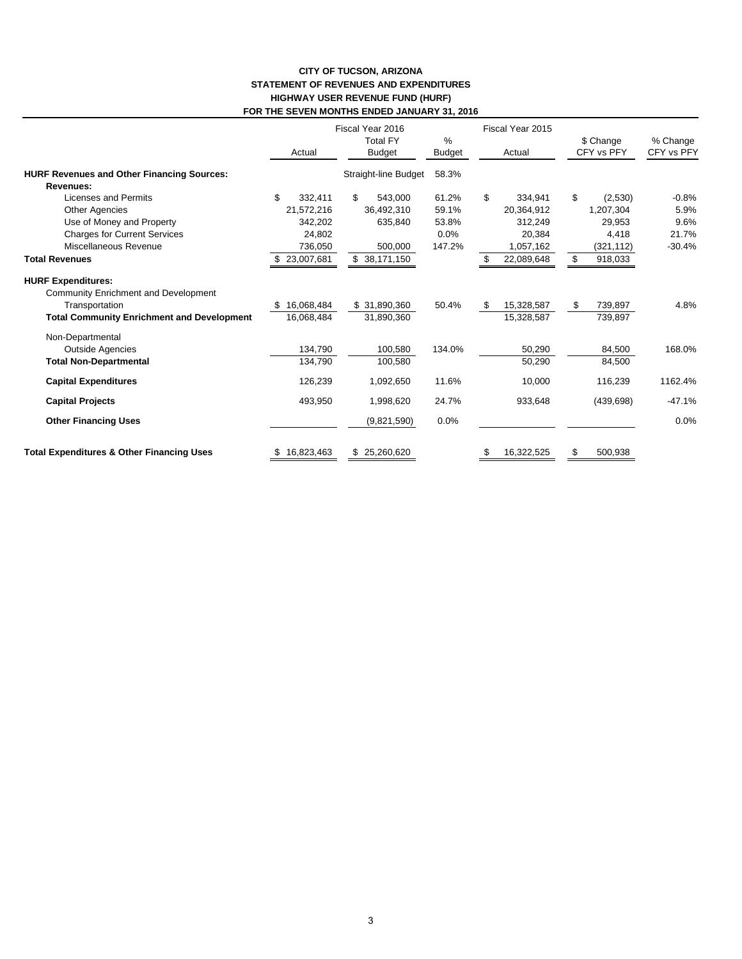#### **CITY OF TUCSON, ARIZONA STATEMENT OF REVENUES AND EXPENDITURES HIGHWAY USER REVENUE FUND (HURF) FOR THE SEVEN MONTHS ENDED JANUARY 31, 2016**

|                                                      |    | Actual       | Fiscal Year 2016<br><b>Total FY</b><br>Budget | $\%$<br><b>Budget</b> | Fiscal Year 2015<br>Actual |            | \$ Change<br>CFY vs PFY |            | % Change<br>CFY vs PFY |
|------------------------------------------------------|----|--------------|-----------------------------------------------|-----------------------|----------------------------|------------|-------------------------|------------|------------------------|
| <b>HURF Revenues and Other Financing Sources:</b>    |    |              | Straight-line Budget                          | 58.3%                 |                            |            |                         |            |                        |
| Revenues:                                            |    |              |                                               |                       |                            |            |                         |            |                        |
| Licenses and Permits                                 | \$ | 332.411      | \$<br>543.000                                 | 61.2%                 | \$                         | 334,941    | \$                      | (2,530)    | $-0.8%$                |
| <b>Other Agencies</b>                                |    | 21,572,216   | 36,492,310                                    | 59.1%                 |                            | 20,364,912 |                         | 1,207,304  | 5.9%                   |
| Use of Money and Property                            |    | 342,202      | 635,840                                       | 53.8%                 |                            | 312,249    |                         | 29,953     | 9.6%                   |
| <b>Charges for Current Services</b>                  |    | 24,802       |                                               | 0.0%                  |                            | 20,384     |                         | 4,418      | 21.7%                  |
| Miscellaneous Revenue                                |    | 736,050      | 500,000                                       | 147.2%                |                            | 1,057,162  |                         | (321, 112) | $-30.4%$               |
| <b>Total Revenues</b>                                |    | \$23,007,681 | \$38,171,150                                  |                       |                            | 22,089,648 | \$                      | 918,033    |                        |
| <b>HURF Expenditures:</b>                            |    |              |                                               |                       |                            |            |                         |            |                        |
| Community Enrichment and Development                 |    |              |                                               |                       |                            |            |                         |            |                        |
| Transportation                                       |    | 16,068,484   | \$ 31,890,360                                 | 50.4%                 | \$                         | 15,328,587 | \$                      | 739,897    | 4.8%                   |
| <b>Total Community Enrichment and Development</b>    |    | 16,068,484   | 31,890,360                                    |                       |                            | 15,328,587 |                         | 739,897    |                        |
| Non-Departmental                                     |    |              |                                               |                       |                            |            |                         |            |                        |
| <b>Outside Agencies</b>                              |    | 134,790      | 100,580                                       | 134.0%                |                            | 50,290     |                         | 84,500     | 168.0%                 |
| <b>Total Non-Departmental</b>                        |    | 134,790      | 100,580                                       |                       |                            | 50,290     |                         | 84,500     |                        |
| <b>Capital Expenditures</b>                          |    | 126,239      | 1,092,650                                     | 11.6%                 |                            | 10,000     |                         | 116,239    | 1162.4%                |
| <b>Capital Projects</b>                              |    | 493,950      | 1,998,620                                     | 24.7%                 |                            | 933,648    |                         | (439, 698) | $-47.1%$               |
| <b>Other Financing Uses</b>                          |    |              | (9,821,590)                                   | 0.0%                  |                            |            |                         |            | 0.0%                   |
| <b>Total Expenditures &amp; Other Financing Uses</b> | \$ | 16,823,463   | \$25,260,620                                  |                       | \$                         | 16,322,525 | \$                      | 500,938    |                        |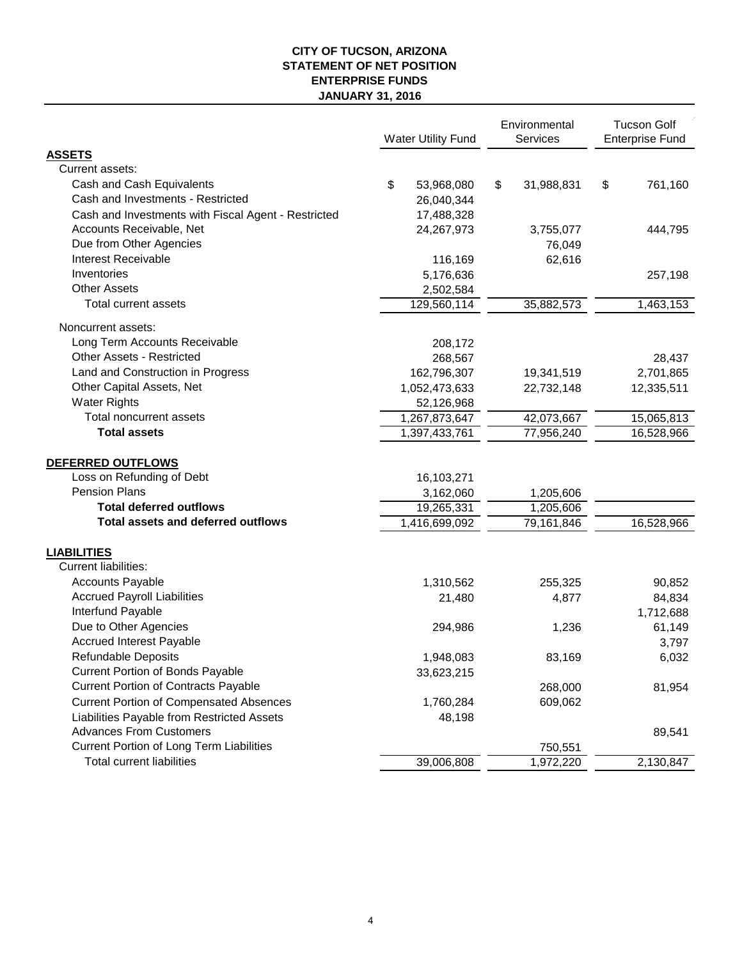## **CITY OF TUCSON, ARIZONA STATEMENT OF NET POSITION ENTERPRISE FUNDS JANUARY 31, 2016**

|                                                     | <b>Water Utility Fund</b> | Environmental<br>Services |            | <b>Tucson Golf</b><br><b>Enterprise Fund</b> |            |  |
|-----------------------------------------------------|---------------------------|---------------------------|------------|----------------------------------------------|------------|--|
| <b>ASSETS</b>                                       |                           |                           |            |                                              |            |  |
| Current assets:                                     |                           |                           |            |                                              |            |  |
| Cash and Cash Equivalents                           | \$<br>53,968,080          | \$                        | 31,988,831 | \$                                           | 761,160    |  |
| Cash and Investments - Restricted                   | 26,040,344                |                           |            |                                              |            |  |
| Cash and Investments with Fiscal Agent - Restricted | 17,488,328                |                           |            |                                              |            |  |
| Accounts Receivable, Net                            | 24,267,973                |                           | 3,755,077  |                                              | 444,795    |  |
| Due from Other Agencies                             |                           |                           | 76,049     |                                              |            |  |
| <b>Interest Receivable</b>                          | 116,169                   |                           | 62,616     |                                              |            |  |
| Inventories                                         | 5,176,636                 |                           |            |                                              | 257,198    |  |
| <b>Other Assets</b>                                 | 2,502,584                 |                           |            |                                              |            |  |
| <b>Total current assets</b>                         | 129,560,114               |                           | 35,882,573 |                                              | 1,463,153  |  |
| Noncurrent assets:                                  |                           |                           |            |                                              |            |  |
| Long Term Accounts Receivable                       | 208,172                   |                           |            |                                              |            |  |
| <b>Other Assets - Restricted</b>                    | 268,567                   |                           |            |                                              | 28,437     |  |
| Land and Construction in Progress                   | 162,796,307               |                           | 19,341,519 |                                              | 2,701,865  |  |
| Other Capital Assets, Net                           | 1,052,473,633             |                           | 22,732,148 |                                              | 12,335,511 |  |
| <b>Water Rights</b>                                 | 52,126,968                |                           |            |                                              |            |  |
| Total noncurrent assets                             | 1,267,873,647             |                           | 42,073,667 |                                              | 15,065,813 |  |
| <b>Total assets</b>                                 | 1,397,433,761             |                           | 77,956,240 |                                              | 16,528,966 |  |
| DEFERRED OUTFLOWS                                   |                           |                           |            |                                              |            |  |
| Loss on Refunding of Debt                           | 16,103,271                |                           |            |                                              |            |  |
| <b>Pension Plans</b>                                | 3,162,060                 |                           | 1,205,606  |                                              |            |  |
| <b>Total deferred outflows</b>                      | 19,265,331                |                           | 1,205,606  |                                              |            |  |
| <b>Total assets and deferred outflows</b>           | 1,416,699,092             |                           | 79,161,846 |                                              | 16,528,966 |  |
|                                                     |                           |                           |            |                                              |            |  |
| <b>LIABILITIES</b>                                  |                           |                           |            |                                              |            |  |
| <b>Current liabilities:</b>                         |                           |                           |            |                                              |            |  |
| <b>Accounts Payable</b>                             | 1,310,562                 |                           | 255,325    |                                              | 90,852     |  |
| <b>Accrued Payroll Liabilities</b>                  | 21,480                    |                           | 4,877      |                                              | 84,834     |  |
| Interfund Payable                                   |                           |                           |            |                                              | 1,712,688  |  |
| Due to Other Agencies                               | 294,986                   |                           | 1,236      |                                              | 61,149     |  |
| <b>Accrued Interest Payable</b>                     |                           |                           |            |                                              | 3,797      |  |
| Refundable Deposits                                 | 1,948,083                 |                           | 83,169     |                                              | 6,032      |  |
| <b>Current Portion of Bonds Payable</b>             | 33,623,215                |                           |            |                                              |            |  |
| <b>Current Portion of Contracts Payable</b>         |                           |                           | 268,000    |                                              | 81,954     |  |
| <b>Current Portion of Compensated Absences</b>      | 1,760,284                 |                           | 609,062    |                                              |            |  |
| Liabilities Payable from Restricted Assets          | 48,198                    |                           |            |                                              |            |  |
| <b>Advances From Customers</b>                      |                           |                           |            |                                              | 89,541     |  |
| Current Portion of Long Term Liabilities            |                           |                           | 750,551    |                                              |            |  |
| <b>Total current liabilities</b>                    | 39,006,808                |                           | 1,972,220  |                                              | 2,130,847  |  |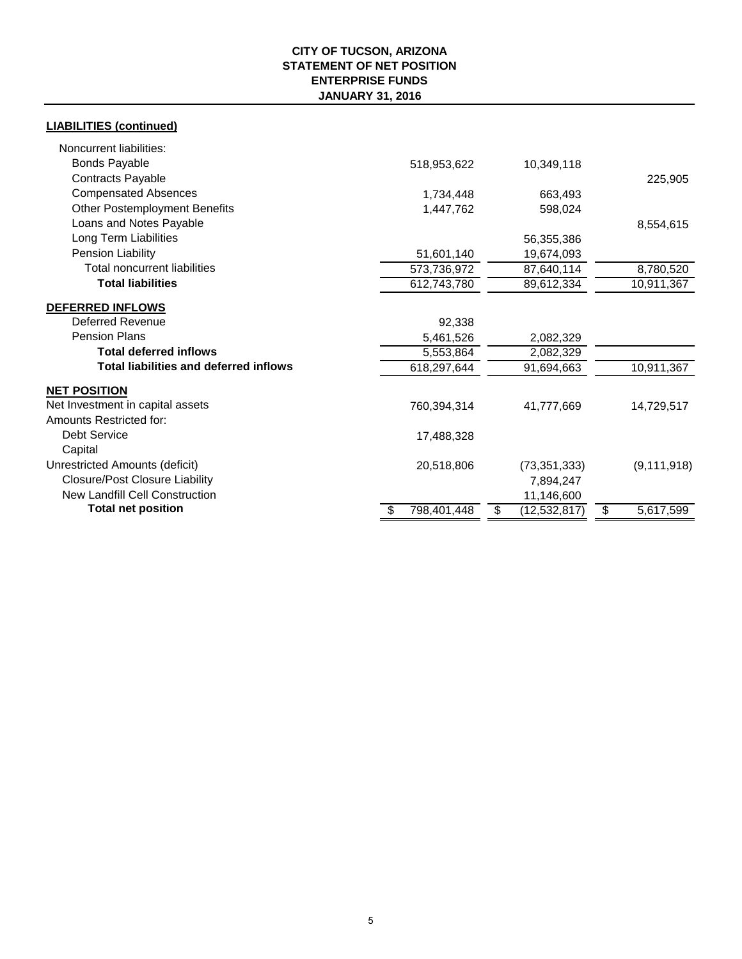## **CITY OF TUCSON, ARIZONA STATEMENT OF NET POSITION ENTERPRISE FUNDS JANUARY 31, 2016**

## **LIABILITIES (continued)**

| Noncurrent liabilities:                       |                   |                      |                 |
|-----------------------------------------------|-------------------|----------------------|-----------------|
| <b>Bonds Payable</b>                          | 518,953,622       | 10,349,118           |                 |
| Contracts Payable                             |                   |                      | 225,905         |
| <b>Compensated Absences</b>                   | 1,734,448         | 663,493              |                 |
| <b>Other Postemployment Benefits</b>          | 1,447,762         | 598,024              |                 |
| Loans and Notes Payable                       |                   |                      | 8,554,615       |
| Long Term Liabilities                         |                   | 56,355,386           |                 |
| Pension Liability                             | 51,601,140        | 19,674,093           |                 |
| <b>Total noncurrent liabilities</b>           | 573,736,972       | 87,640,114           | 8,780,520       |
| <b>Total liabilities</b>                      | 612,743,780       | 89,612,334           | 10,911,367      |
| DEFERRED INFLOWS                              |                   |                      |                 |
| Deferred Revenue                              | 92,338            |                      |                 |
| <b>Pension Plans</b>                          | 5,461,526         | 2,082,329            |                 |
| <b>Total deferred inflows</b>                 | 5,553,864         | 2,082,329            |                 |
| <b>Total liabilities and deferred inflows</b> | 618,297,644       | 91,694,663           | 10,911,367      |
| <b>NET POSITION</b>                           |                   |                      |                 |
| Net Investment in capital assets              | 760,394,314       | 41,777,669           | 14,729,517      |
| Amounts Restricted for:                       |                   |                      |                 |
| <b>Debt Service</b>                           | 17,488,328        |                      |                 |
| Capital                                       |                   |                      |                 |
| Unrestricted Amounts (deficit)                | 20,518,806        | (73, 351, 333)       | (9, 111, 918)   |
| <b>Closure/Post Closure Liability</b>         |                   | 7,894,247            |                 |
| <b>New Landfill Cell Construction</b>         |                   | 11,146,600           |                 |
| <b>Total net position</b>                     | 798,401,448<br>S. | (12, 532, 817)<br>\$ | \$<br>5,617,599 |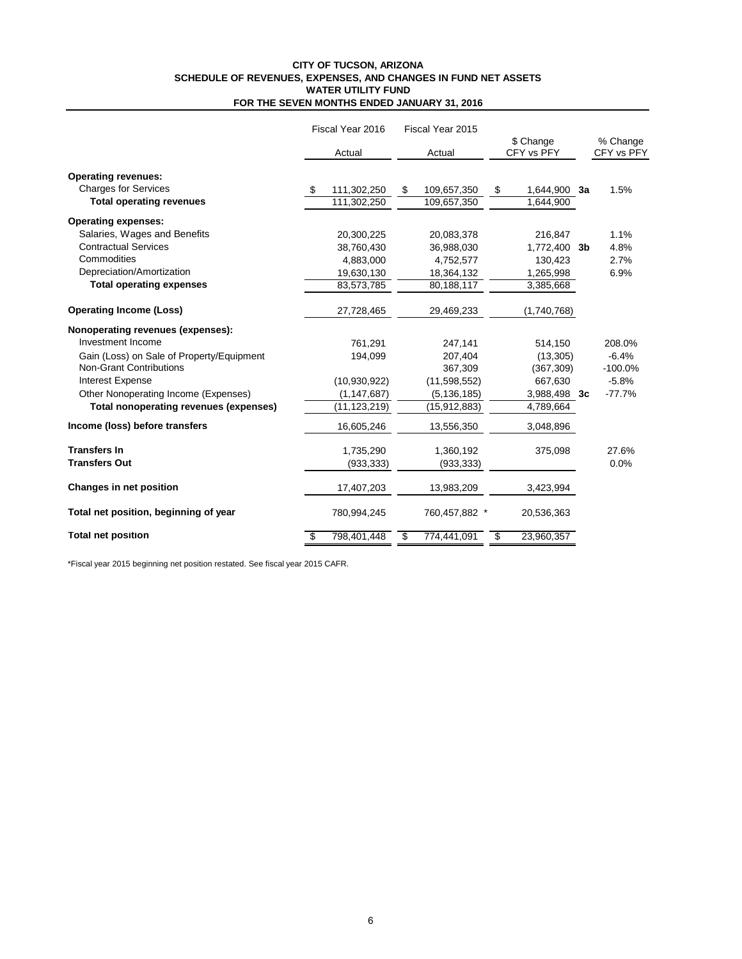#### **CITY OF TUCSON, ARIZONA SCHEDULE OF REVENUES, EXPENSES, AND CHANGES IN FUND NET ASSETS WATER UTILITY FUND FOR THE SEVEN MONTHS ENDED JANUARY 31, 2016**

|                                           | Fiscal Year 2016 | Fiscal Year 2015  |                         |                        |
|-------------------------------------------|------------------|-------------------|-------------------------|------------------------|
|                                           | Actual           | Actual            | \$ Change<br>CFY vs PFY | % Change<br>CFY vs PFY |
| <b>Operating revenues:</b>                |                  |                   |                         |                        |
| <b>Charges for Services</b>               | 111,302,250      | 109,657,350<br>\$ | 1,644,900 3a<br>\$      | 1.5%                   |
| <b>Total operating revenues</b>           | 111,302,250      | 109,657,350       | 1,644,900               |                        |
| <b>Operating expenses:</b>                |                  |                   |                         |                        |
| Salaries, Wages and Benefits              | 20,300,225       | 20,083,378        | 216,847                 | 1.1%                   |
| <b>Contractual Services</b>               | 38,760,430       | 36,988,030        | 1,772,400 3b            | 4.8%                   |
| Commodities                               | 4,883,000        | 4,752,577         | 130,423                 | 2.7%                   |
| Depreciation/Amortization                 | 19,630,130       | 18,364,132        | 1,265,998               | 6.9%                   |
| <b>Total operating expenses</b>           | 83,573,785       | 80,188,117        | 3,385,668               |                        |
| <b>Operating Income (Loss)</b>            | 27,728,465       | 29,469,233        | (1,740,768)             |                        |
| Nonoperating revenues (expenses):         |                  |                   |                         |                        |
| Investment Income                         | 761,291          | 247,141           | 514,150                 | 208.0%                 |
| Gain (Loss) on Sale of Property/Equipment | 194,099          | 207,404           | (13,305)                | $-6.4%$                |
| <b>Non-Grant Contributions</b>            |                  | 367,309           | (367, 309)              | $-100.0\%$             |
| <b>Interest Expense</b>                   | (10, 930, 922)   | (11, 598, 552)    | 667,630                 | $-5.8%$                |
| Other Nonoperating Income (Expenses)      | (1, 147, 687)    | (5, 136, 185)     | 3,988,498 3c            | $-77.7%$               |
| Total nonoperating revenues (expenses)    | (11,123,219)     | (15,912,883)      | 4,789,664               |                        |
| Income (loss) before transfers            | 16,605,246       | 13,556,350        | 3,048,896               |                        |
| <b>Transfers In</b>                       | 1,735,290        | 1,360,192         | 375,098                 | 27.6%                  |
| <b>Transfers Out</b>                      | (933, 333)       | (933, 333)        |                         | 0.0%                   |
| Changes in net position                   | 17,407,203       | 13,983,209        | 3,423,994               |                        |
| Total net position, beginning of year     | 780,994,245      | 760,457,882 *     | 20,536,363              |                        |
| <b>Total net position</b>                 | 798,401,448      | 774,441,091<br>\$ | 23,960,357<br>\$        |                        |

\*Fiscal year 2015 beginning net position restated. See fiscal year 2015 CAFR.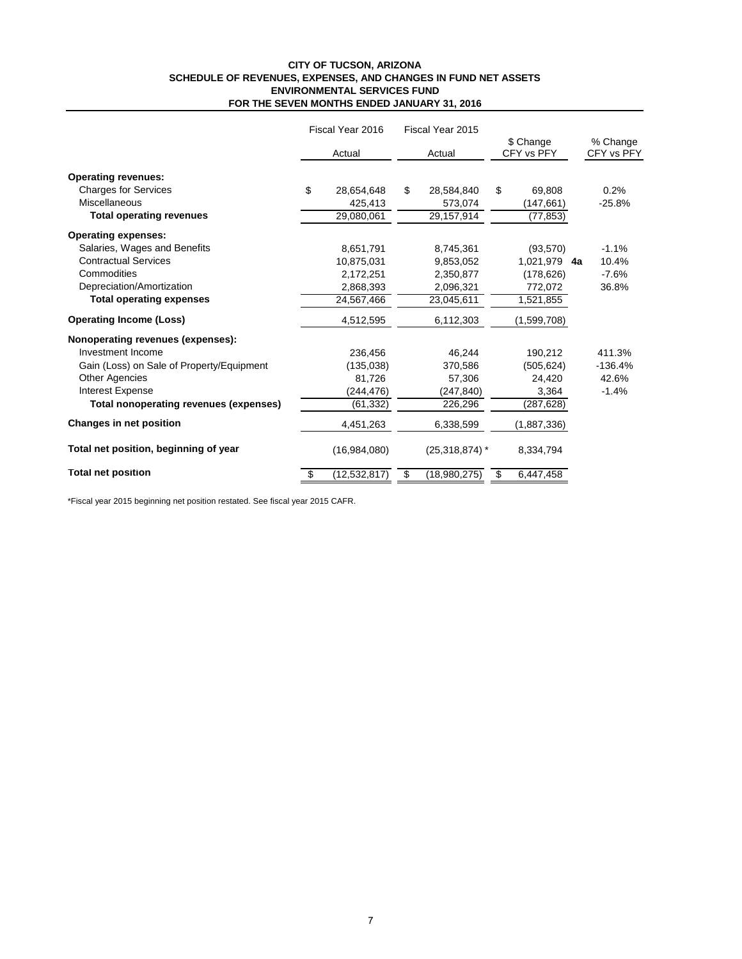#### **CITY OF TUCSON, ARIZONA SCHEDULE OF REVENUES, EXPENSES, AND CHANGES IN FUND NET ASSETS ENVIRONMENTAL SERVICES FUND FOR THE SEVEN MONTHS ENDED JANUARY 31, 2016**

|                                           | Fiscal Year 2016 |                | Fiscal Year 2015 |                  |                         |              |  |                        |  |
|-------------------------------------------|------------------|----------------|------------------|------------------|-------------------------|--------------|--|------------------------|--|
|                                           |                  | Actual         |                  | Actual           | \$ Change<br>CFY vs PFY |              |  | % Change<br>CFY vs PFY |  |
| <b>Operating revenues:</b>                |                  |                |                  |                  |                         |              |  |                        |  |
| <b>Charges for Services</b>               | \$               | 28,654,648     | \$               | 28,584,840       | \$                      | 69,808       |  | 0.2%                   |  |
| Miscellaneous                             |                  | 425,413        |                  | 573,074          |                         | (147, 661)   |  | $-25.8%$               |  |
| <b>Total operating revenues</b>           |                  | 29,080,061     |                  | 29,157,914       |                         | (77, 853)    |  |                        |  |
| <b>Operating expenses:</b>                |                  |                |                  |                  |                         |              |  |                        |  |
| Salaries, Wages and Benefits              |                  | 8,651,791      |                  | 8,745,361        |                         | (93, 570)    |  | $-1.1%$                |  |
| <b>Contractual Services</b>               |                  | 10,875,031     |                  | 9.853.052        |                         | 1.021.979 4a |  | 10.4%                  |  |
| Commodities                               |                  | 2,172,251      |                  | 2,350,877        |                         | (178, 626)   |  | $-7.6%$                |  |
| Depreciation/Amortization                 |                  | 2,868,393      |                  | 2,096,321        |                         | 772,072      |  | 36.8%                  |  |
| <b>Total operating expenses</b>           |                  | 24,567,466     |                  | 23,045,611       |                         | 1,521,855    |  |                        |  |
| <b>Operating Income (Loss)</b>            |                  | 4,512,595      |                  | 6,112,303        |                         | (1,599,708)  |  |                        |  |
| Nonoperating revenues (expenses):         |                  |                |                  |                  |                         |              |  |                        |  |
| Investment Income                         |                  | 236,456        |                  | 46,244           |                         | 190,212      |  | 411.3%                 |  |
| Gain (Loss) on Sale of Property/Equipment |                  | (135, 038)     |                  | 370,586          |                         | (505,624)    |  | $-136.4%$              |  |
| <b>Other Agencies</b>                     |                  | 81,726         |                  | 57,306           |                         | 24.420       |  | 42.6%                  |  |
| Interest Expense                          |                  | (244,476)      |                  | (247, 840)       |                         | 3,364        |  | $-1.4%$                |  |
| Total nonoperating revenues (expenses)    |                  | (61, 332)      |                  | 226,296          |                         | (287, 628)   |  |                        |  |
| <b>Changes in net position</b>            |                  | 4,451,263      |                  | 6,338,599        |                         | (1,887,336)  |  |                        |  |
| Total net position, beginning of year     |                  | (16,984,080)   |                  | $(25,318,874)$ * |                         | 8,334,794    |  |                        |  |
| <b>Total net position</b>                 |                  | (12, 532, 817) | \$               | (18,980,275)     | \$                      | 6,447,458    |  |                        |  |

\*Fiscal year 2015 beginning net position restated. See fiscal year 2015 CAFR.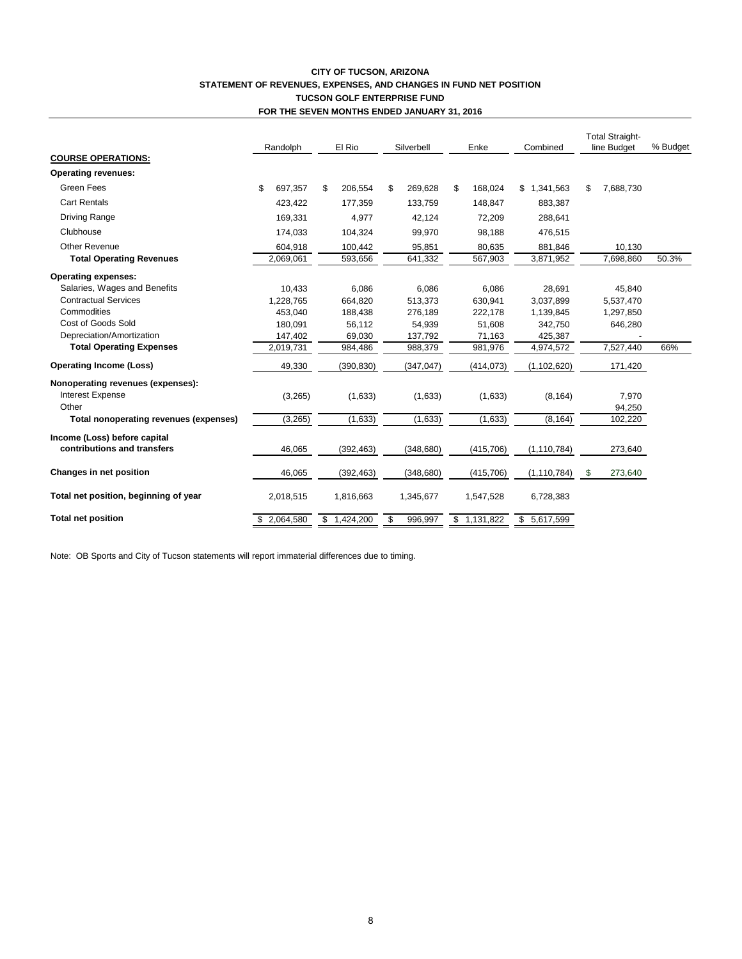#### **CITY OF TUCSON, ARIZONA STATEMENT OF REVENUES, EXPENSES, AND CHANGES IN FUND NET POSITION TUCSON GOLF ENTERPRISE FUND FOR THE SEVEN MONTHS ENDED JANUARY 31, 2016**

|                                        | Randolph      | El Rio        | Silverbell    |    | Enke        | Combined      | <b>Total Straight-</b><br>line Budget |           | % Budget |
|----------------------------------------|---------------|---------------|---------------|----|-------------|---------------|---------------------------------------|-----------|----------|
| <b>COURSE OPERATIONS:</b>              |               |               |               |    |             |               |                                       |           |          |
| <b>Operating revenues:</b>             |               |               |               |    |             |               |                                       |           |          |
| Green Fees                             | \$<br>697.357 | \$<br>206,554 | \$<br>269,628 | \$ | 168,024     | \$1,341,563   | \$                                    | 7,688,730 |          |
| <b>Cart Rentals</b>                    | 423.422       | 177.359       | 133.759       |    | 148.847     | 883,387       |                                       |           |          |
| <b>Driving Range</b>                   | 169,331       | 4,977         | 42,124        |    | 72,209      | 288,641       |                                       |           |          |
| Clubhouse                              | 174,033       | 104,324       | 99,970        |    | 98,188      | 476,515       |                                       |           |          |
| <b>Other Revenue</b>                   | 604,918       | 100,442       | 95,851        |    | 80.635      | 881,846       |                                       | 10,130    |          |
| <b>Total Operating Revenues</b>        | 2,069,061     | 593,656       | 641,332       |    | 567,903     | 3,871,952     |                                       | 7,698,860 | 50.3%    |
| <b>Operating expenses:</b>             |               |               |               |    |             |               |                                       |           |          |
| Salaries, Wages and Benefits           | 10,433        | 6.086         | 6.086         |    | 6,086       | 28,691        |                                       | 45,840    |          |
| <b>Contractual Services</b>            | 1,228,765     | 664,820       | 513.373       |    | 630,941     | 3,037,899     |                                       | 5,537,470 |          |
| Commodities                            | 453,040       | 188,438       | 276,189       |    | 222,178     | 1,139,845     |                                       | 1,297,850 |          |
| Cost of Goods Sold                     | 180,091       | 56,112        | 54,939        |    | 51,608      | 342,750       |                                       | 646,280   |          |
| Depreciation/Amortization              | 147,402       | 69,030        | 137,792       |    | 71,163      | 425,387       |                                       |           |          |
| <b>Total Operating Expenses</b>        | 2,019,731     | 984,486       | 988,379       |    | 981,976     | 4,974,572     |                                       | 7,527,440 | 66%      |
| <b>Operating Income (Loss)</b>         | 49,330        | (390, 830)    | (347, 047)    |    | (414, 073)  | (1, 102, 620) |                                       | 171,420   |          |
| Nonoperating revenues (expenses):      |               |               |               |    |             |               |                                       |           |          |
| <b>Interest Expense</b>                | (3,265)       | (1,633)       | (1,633)       |    | (1,633)     | (8, 164)      |                                       | 7,970     |          |
| Other                                  |               |               |               |    |             |               |                                       | 94,250    |          |
| Total nonoperating revenues (expenses) | (3,265)       | (1,633)       | (1,633)       |    | (1,633)     | (8, 164)      |                                       | 102,220   |          |
| Income (Loss) before capital           |               |               |               |    |             |               |                                       |           |          |
| contributions and transfers            | 46,065        | (392, 463)    | (348, 680)    |    | (415, 706)  | (1, 110, 784) |                                       | 273,640   |          |
| Changes in net position                | 46,065        | (392, 463)    | (348, 680)    |    | (415, 706)  | (1, 110, 784) | \$                                    | 273,640   |          |
| Total net position, beginning of year  | 2,018,515     | 1,816,663     | 1,345,677     |    | 1,547,528   | 6,728,383     |                                       |           |          |
| <b>Total net position</b>              | 2,064,580     | \$1,424,200   | 996,997       |    | \$1,131,822 | \$5,617,599   |                                       |           |          |

Note: OB Sports and City of Tucson statements will report immaterial differences due to timing.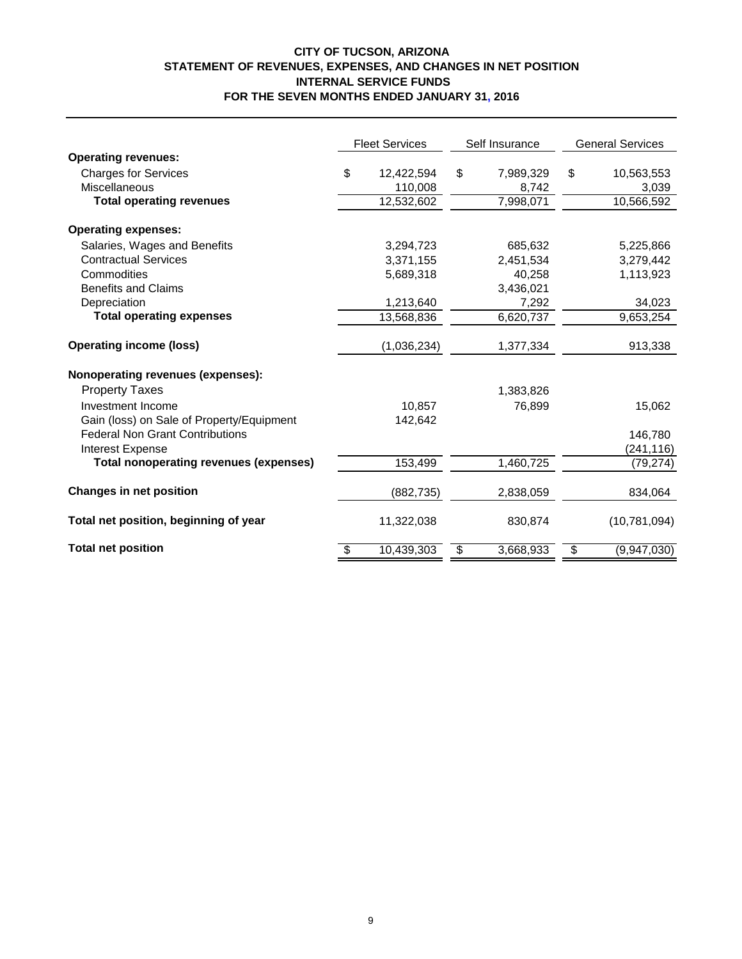## **CITY OF TUCSON, ARIZONA STATEMENT OF REVENUES, EXPENSES, AND CHANGES IN NET POSITION INTERNAL SERVICE FUNDS FOR THE SEVEN MONTHS ENDED JANUARY 31, 2016**

|                                               | <b>Fleet Services</b> | Self Insurance  | <b>General Services</b> |                |  |
|-----------------------------------------------|-----------------------|-----------------|-------------------------|----------------|--|
| <b>Operating revenues:</b>                    |                       |                 |                         |                |  |
| <b>Charges for Services</b>                   | \$<br>12,422,594      | \$<br>7,989,329 | \$                      | 10,563,553     |  |
| Miscellaneous                                 | 110,008               | 8,742           |                         | 3,039          |  |
| <b>Total operating revenues</b>               | 12,532,602            | 7,998,071       |                         | 10,566,592     |  |
| <b>Operating expenses:</b>                    |                       |                 |                         |                |  |
| Salaries, Wages and Benefits                  |                       |                 |                         |                |  |
| <b>Contractual Services</b>                   | 3,294,723             | 685,632         |                         | 5,225,866      |  |
| Commodities                                   | 3,371,155             | 2,451,534       |                         | 3,279,442      |  |
| <b>Benefits and Claims</b>                    | 5,689,318             | 40,258          |                         | 1,113,923      |  |
|                                               |                       | 3,436,021       |                         |                |  |
| Depreciation                                  | 1,213,640             | 7,292           |                         | 34,023         |  |
| <b>Total operating expenses</b>               | 13,568,836            | 6,620,737       |                         | 9,653,254      |  |
| <b>Operating income (loss)</b>                | (1,036,234)           | 1,377,334       |                         | 913,338        |  |
| Nonoperating revenues (expenses):             |                       |                 |                         |                |  |
| <b>Property Taxes</b>                         |                       | 1,383,826       |                         |                |  |
| Investment Income                             | 10,857                | 76,899          |                         | 15,062         |  |
| Gain (loss) on Sale of Property/Equipment     | 142,642               |                 |                         |                |  |
| <b>Federal Non Grant Contributions</b>        |                       |                 |                         | 146,780        |  |
| Interest Expense                              |                       |                 |                         | (241, 116)     |  |
| <b>Total nonoperating revenues (expenses)</b> | 153,499               | 1,460,725       |                         | (79, 274)      |  |
| <b>Changes in net position</b>                | (882, 735)            | 2,838,059       |                         | 834,064        |  |
| Total net position, beginning of year         | 11,322,038            | 830,874         |                         | (10, 781, 094) |  |
| <b>Total net position</b>                     | \$<br>10,439,303      | \$<br>3,668,933 | \$                      | (9,947,030)    |  |